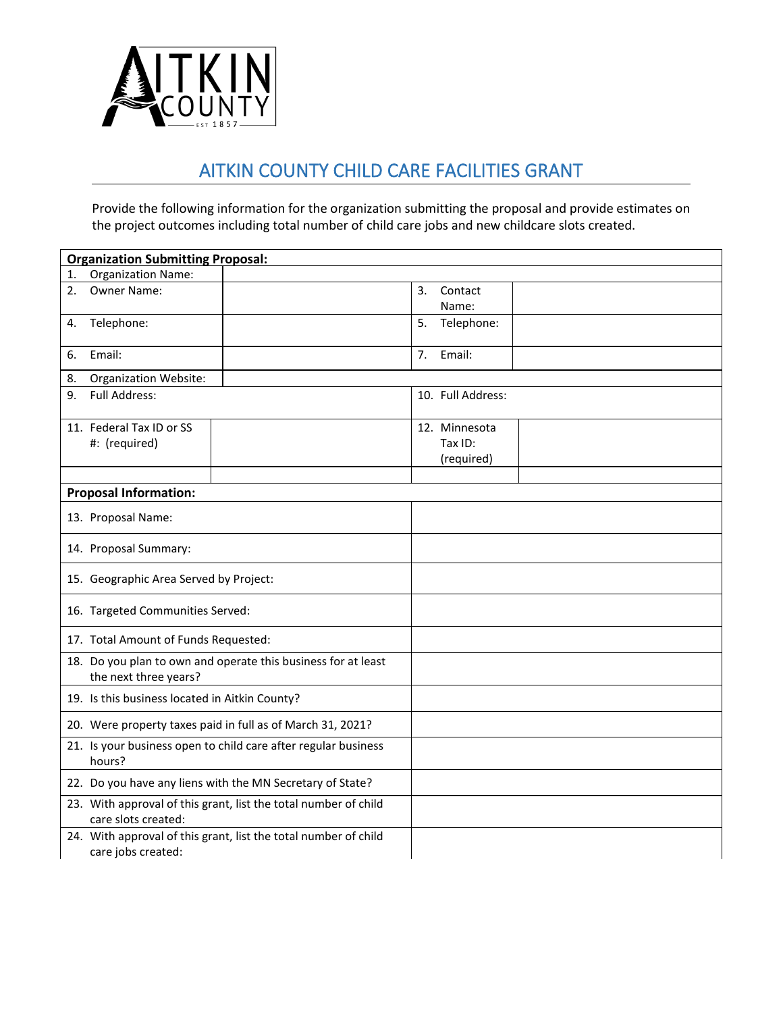

## AITKIN COUNTY CHILD CARE FACILITIES GRANT

Provide the following information for the organization submitting the proposal and provide estimates on the project outcomes including total number of child care jobs and new childcare slots created.

| <b>Organization Submitting Proposal:</b>                                               |                        |
|----------------------------------------------------------------------------------------|------------------------|
| <b>Organization Name:</b><br>1.                                                        |                        |
| Owner Name:<br>2.                                                                      | 3.<br>Contact<br>Name: |
| Telephone:<br>4.                                                                       | Telephone:<br>5.       |
| Email:<br>6.                                                                           | 7.<br>Email:           |
| <b>Organization Website:</b><br>8.                                                     |                        |
| <b>Full Address:</b><br>9.                                                             | 10. Full Address:      |
| 11. Federal Tax ID or SS                                                               | 12. Minnesota          |
| #: (required)                                                                          | Tax ID:                |
|                                                                                        | (required)             |
|                                                                                        |                        |
| <b>Proposal Information:</b>                                                           |                        |
| 13. Proposal Name:                                                                     |                        |
| 14. Proposal Summary:                                                                  |                        |
| 15. Geographic Area Served by Project:                                                 |                        |
| 16. Targeted Communities Served:                                                       |                        |
| 17. Total Amount of Funds Requested:                                                   |                        |
| 18. Do you plan to own and operate this business for at least<br>the next three years? |                        |
| 19. Is this business located in Aitkin County?                                         |                        |
| 20. Were property taxes paid in full as of March 31, 2021?                             |                        |
| 21. Is your business open to child care after regular business<br>hours?               |                        |
| 22. Do you have any liens with the MN Secretary of State?                              |                        |
| 23. With approval of this grant, list the total number of child<br>care slots created: |                        |
| 24. With approval of this grant, list the total number of child<br>care jobs created:  |                        |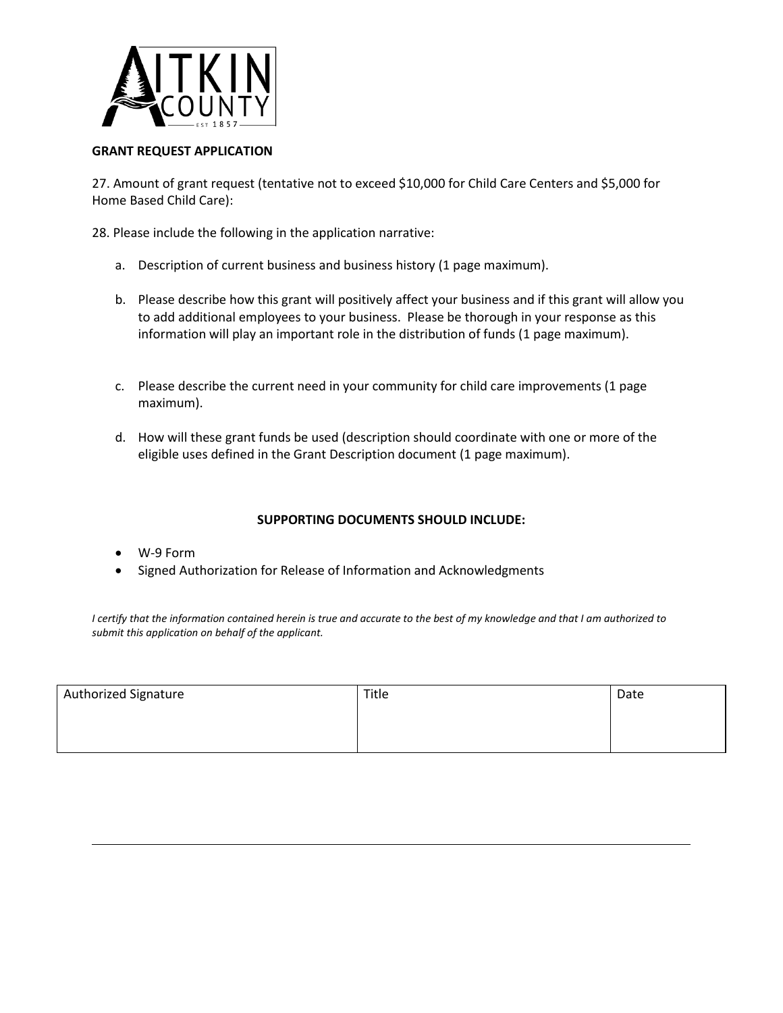

## **GRANT REQUEST APPLICATION**

27. Amount of grant request (tentative not to exceed \$10,000 for Child Care Centers and \$5,000 for Home Based Child Care):

28. Please include the following in the application narrative:

- a. Description of current business and business history (1 page maximum).
- b. Please describe how this grant will positively affect your business and if this grant will allow you to add additional employees to your business. Please be thorough in your response as this information will play an important role in the distribution of funds (1 page maximum).
- c. Please describe the current need in your community for child care improvements (1 page maximum).
- d. How will these grant funds be used (description should coordinate with one or more of the eligible uses defined in the Grant Description document (1 page maximum).

## **SUPPORTING DOCUMENTS SHOULD INCLUDE:**

- W-9 Form
- Signed Authorization for Release of Information and Acknowledgments

*I certify that the information contained herein is true and accurate to the best of my knowledge and that I am authorized to submit this application on behalf of the applicant.*

| <b>Authorized Signature</b> | Title | Date |
|-----------------------------|-------|------|
|                             |       |      |
|                             |       |      |